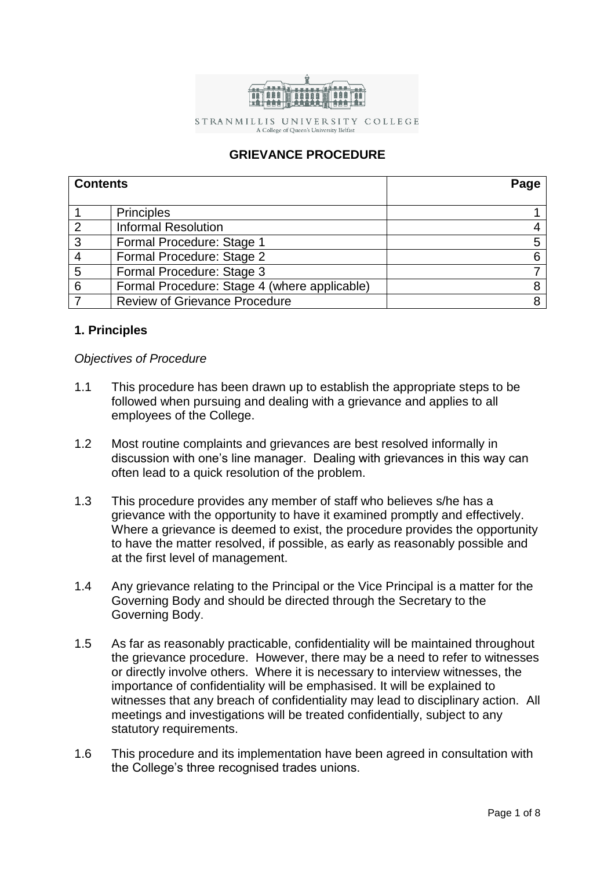

STRANMILLIS UNIVERSITY COLLEGE

A College of Queen's University Belfast

# **GRIEVANCE PROCEDURE**

| <b>Contents</b> |                                              | Page |
|-----------------|----------------------------------------------|------|
|                 |                                              |      |
|                 | <b>Principles</b>                            |      |
| $\overline{2}$  | <b>Informal Resolution</b>                   |      |
| 3               | Formal Procedure: Stage 1                    |      |
|                 | Formal Procedure: Stage 2                    |      |
| 5               | Formal Procedure: Stage 3                    |      |
| 6               | Formal Procedure: Stage 4 (where applicable) |      |
|                 | <b>Review of Grievance Procedure</b>         |      |

# **1. Principles**

# *Objectives of Procedure*

- 1.1 This procedure has been drawn up to establish the appropriate steps to be followed when pursuing and dealing with a grievance and applies to all employees of the College.
- 1.2 Most routine complaints and grievances are best resolved informally in discussion with one's line manager. Dealing with grievances in this way can often lead to a quick resolution of the problem.
- 1.3 This procedure provides any member of staff who believes s/he has a grievance with the opportunity to have it examined promptly and effectively. Where a grievance is deemed to exist, the procedure provides the opportunity to have the matter resolved, if possible, as early as reasonably possible and at the first level of management.
- 1.4 Any grievance relating to the Principal or the Vice Principal is a matter for the Governing Body and should be directed through the Secretary to the Governing Body.
- 1.5 As far as reasonably practicable, confidentiality will be maintained throughout the grievance procedure. However, there may be a need to refer to witnesses or directly involve others. Where it is necessary to interview witnesses, the importance of confidentiality will be emphasised. It will be explained to witnesses that any breach of confidentiality may lead to disciplinary action. All meetings and investigations will be treated confidentially, subject to any statutory requirements.
- 1.6 This procedure and its implementation have been agreed in consultation with the College's three recognised trades unions.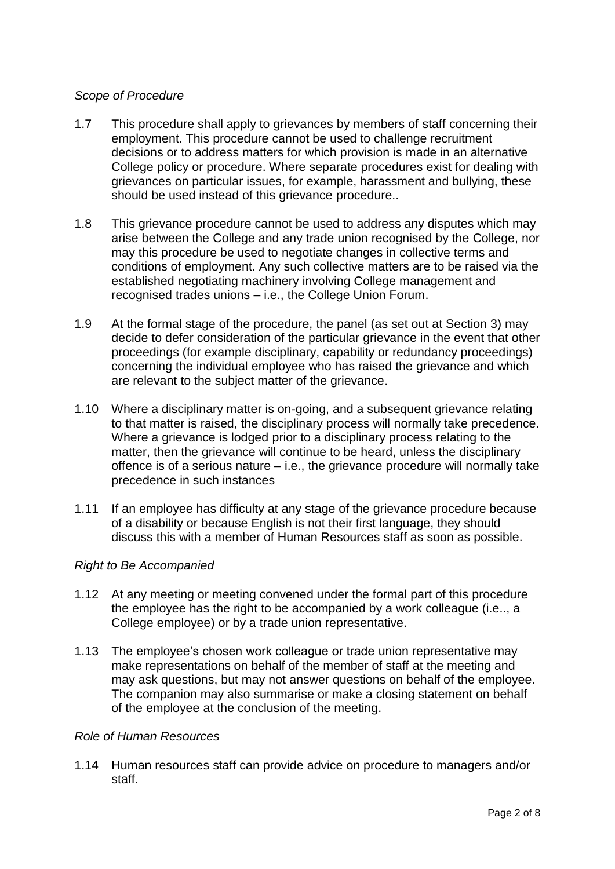# *Scope of Procedure*

- 1.7 This procedure shall apply to grievances by members of staff concerning their employment. This procedure cannot be used to challenge recruitment decisions or to address matters for which provision is made in an alternative College policy or procedure. Where separate procedures exist for dealing with grievances on particular issues, for example, harassment and bullying, these should be used instead of this grievance procedure..
- 1.8 This grievance procedure cannot be used to address any disputes which may arise between the College and any trade union recognised by the College, nor may this procedure be used to negotiate changes in collective terms and conditions of employment. Any such collective matters are to be raised via the established negotiating machinery involving College management and recognised trades unions – i.e., the College Union Forum.
- 1.9 At the formal stage of the procedure, the panel (as set out at Section 3) may decide to defer consideration of the particular grievance in the event that other proceedings (for example disciplinary, capability or redundancy proceedings) concerning the individual employee who has raised the grievance and which are relevant to the subject matter of the grievance.
- 1.10 Where a disciplinary matter is on-going, and a subsequent grievance relating to that matter is raised, the disciplinary process will normally take precedence. Where a grievance is lodged prior to a disciplinary process relating to the matter, then the grievance will continue to be heard, unless the disciplinary offence is of a serious nature – i.e., the grievance procedure will normally take precedence in such instances
- 1.11 If an employee has difficulty at any stage of the grievance procedure because of a disability or because English is not their first language, they should discuss this with a member of Human Resources staff as soon as possible.

# *Right to Be Accompanied*

- 1.12 At any meeting or meeting convened under the formal part of this procedure the employee has the right to be accompanied by a work colleague (i.e.., a College employee) or by a trade union representative.
- 1.13 The employee's chosen work colleague or trade union representative may make representations on behalf of the member of staff at the meeting and may ask questions, but may not answer questions on behalf of the employee. The companion may also summarise or make a closing statement on behalf of the employee at the conclusion of the meeting.

# *Role of Human Resources*

1.14 Human resources staff can provide advice on procedure to managers and/or staff.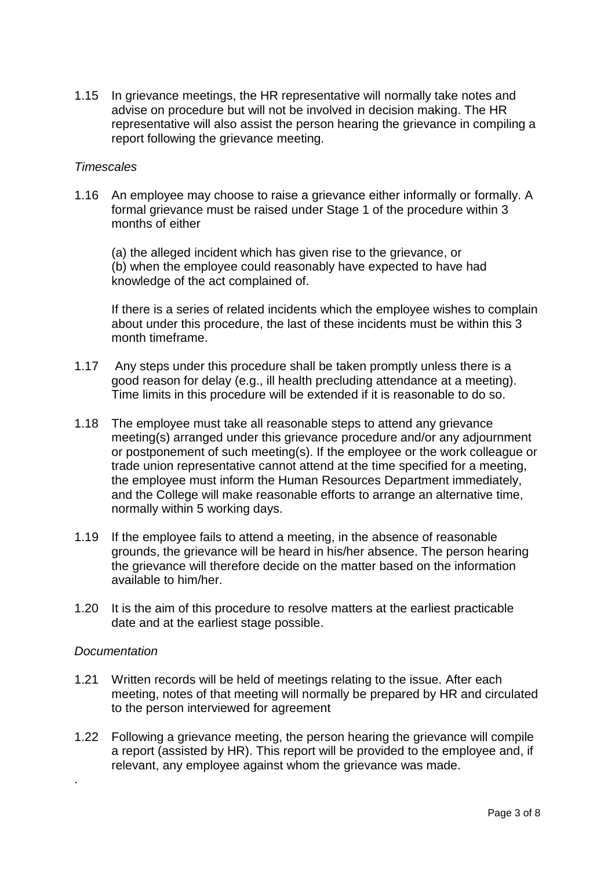1.15 In grievance meetings, the HR representative will normally take notes and advise on procedure but will not be involved in decision making. The HR representative will also assist the person hearing the grievance in compiling a report following the grievance meeting.

### *Timescales*

1.16 An employee may choose to raise a grievance either informally or formally. A formal grievance must be raised under Stage 1 of the procedure within 3 months of either

(a) the alleged incident which has given rise to the grievance, or (b) when the employee could reasonably have expected to have had knowledge of the act complained of.

If there is a series of related incidents which the employee wishes to complain about under this procedure, the last of these incidents must be within this 3 month timeframe.

- 1.17 Any steps under this procedure shall be taken promptly unless there is a good reason for delay (e.g., ill health precluding attendance at a meeting). Time limits in this procedure will be extended if it is reasonable to do so.
- 1.18 The employee must take all reasonable steps to attend any grievance meeting(s) arranged under this grievance procedure and/or any adjournment or postponement of such meeting(s). If the employee or the work colleague or trade union representative cannot attend at the time specified for a meeting, the employee must inform the Human Resources Department immediately, and the College will make reasonable efforts to arrange an alternative time, normally within 5 working days.
- 1.19 If the employee fails to attend a meeting, in the absence of reasonable grounds, the grievance will be heard in his/her absence. The person hearing the grievance will therefore decide on the matter based on the information available to him/her.
- 1.20 It is the aim of this procedure to resolve matters at the earliest practicable date and at the earliest stage possible.

### *Documentation*

.

- 1.21 Written records will be held of meetings relating to the issue. After each meeting, notes of that meeting will normally be prepared by HR and circulated to the person interviewed for agreement
- 1.22 Following a grievance meeting, the person hearing the grievance will compile a report (assisted by HR). This report will be provided to the employee and, if relevant, any employee against whom the grievance was made.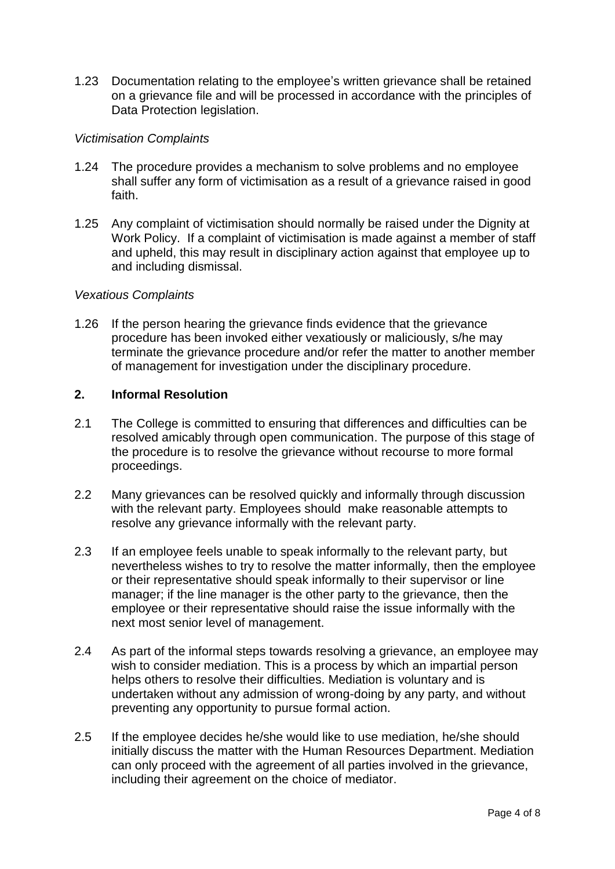1.23 Documentation relating to the employee's written grievance shall be retained on a grievance file and will be processed in accordance with the principles of Data Protection legislation.

## *Victimisation Complaints*

- 1.24 The procedure provides a mechanism to solve problems and no employee shall suffer any form of victimisation as a result of a grievance raised in good faith.
- 1.25 Any complaint of victimisation should normally be raised under the Dignity at Work Policy. If a complaint of victimisation is made against a member of staff and upheld, this may result in disciplinary action against that employee up to and including dismissal.

### *Vexatious Complaints*

1.26 If the person hearing the grievance finds evidence that the grievance procedure has been invoked either vexatiously or maliciously, s/he may terminate the grievance procedure and/or refer the matter to another member of management for investigation under the disciplinary procedure.

## **2. Informal Resolution**

- 2.1 The College is committed to ensuring that differences and difficulties can be resolved amicably through open communication. The purpose of this stage of the procedure is to resolve the grievance without recourse to more formal proceedings.
- 2.2 Many grievances can be resolved quickly and informally through discussion with the relevant party. Employees should make reasonable attempts to resolve any grievance informally with the relevant party.
- 2.3 If an employee feels unable to speak informally to the relevant party, but nevertheless wishes to try to resolve the matter informally, then the employee or their representative should speak informally to their supervisor or line manager; if the line manager is the other party to the grievance, then the employee or their representative should raise the issue informally with the next most senior level of management.
- 2.4 As part of the informal steps towards resolving a grievance, an employee may wish to consider mediation. This is a process by which an impartial person helps others to resolve their difficulties. Mediation is voluntary and is undertaken without any admission of wrong-doing by any party, and without preventing any opportunity to pursue formal action.
- 2.5 If the employee decides he/she would like to use mediation, he/she should initially discuss the matter with the Human Resources Department. Mediation can only proceed with the agreement of all parties involved in the grievance, including their agreement on the choice of mediator.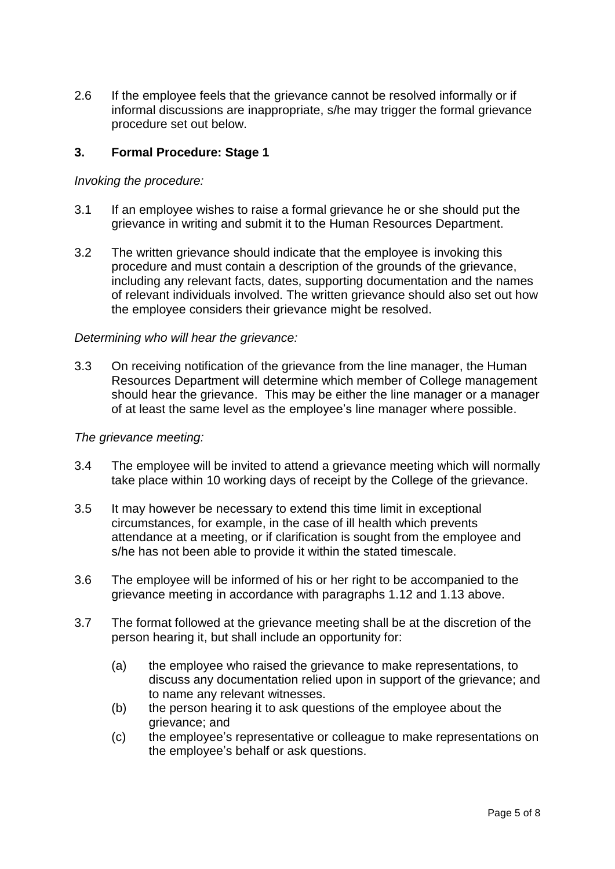2.6 If the employee feels that the grievance cannot be resolved informally or if informal discussions are inappropriate, s/he may trigger the formal grievance procedure set out below.

# **3. Formal Procedure: Stage 1**

#### *Invoking the procedure:*

- 3.1 If an employee wishes to raise a formal grievance he or she should put the grievance in writing and submit it to the Human Resources Department.
- 3.2 The written grievance should indicate that the employee is invoking this procedure and must contain a description of the grounds of the grievance, including any relevant facts, dates, supporting documentation and the names of relevant individuals involved. The written grievance should also set out how the employee considers their grievance might be resolved.

#### *Determining who will hear the grievance:*

3.3 On receiving notification of the grievance from the line manager, the Human Resources Department will determine which member of College management should hear the grievance. This may be either the line manager or a manager of at least the same level as the employee's line manager where possible.

#### *The grievance meeting:*

- 3.4 The employee will be invited to attend a grievance meeting which will normally take place within 10 working days of receipt by the College of the grievance.
- 3.5 It may however be necessary to extend this time limit in exceptional circumstances, for example, in the case of ill health which prevents attendance at a meeting, or if clarification is sought from the employee and s/he has not been able to provide it within the stated timescale.
- 3.6 The employee will be informed of his or her right to be accompanied to the grievance meeting in accordance with paragraphs 1.12 and 1.13 above.
- 3.7 The format followed at the grievance meeting shall be at the discretion of the person hearing it, but shall include an opportunity for:
	- (a) the employee who raised the grievance to make representations, to discuss any documentation relied upon in support of the grievance; and to name any relevant witnesses.
	- (b) the person hearing it to ask questions of the employee about the grievance; and
	- (c) the employee's representative or colleague to make representations on the employee's behalf or ask questions.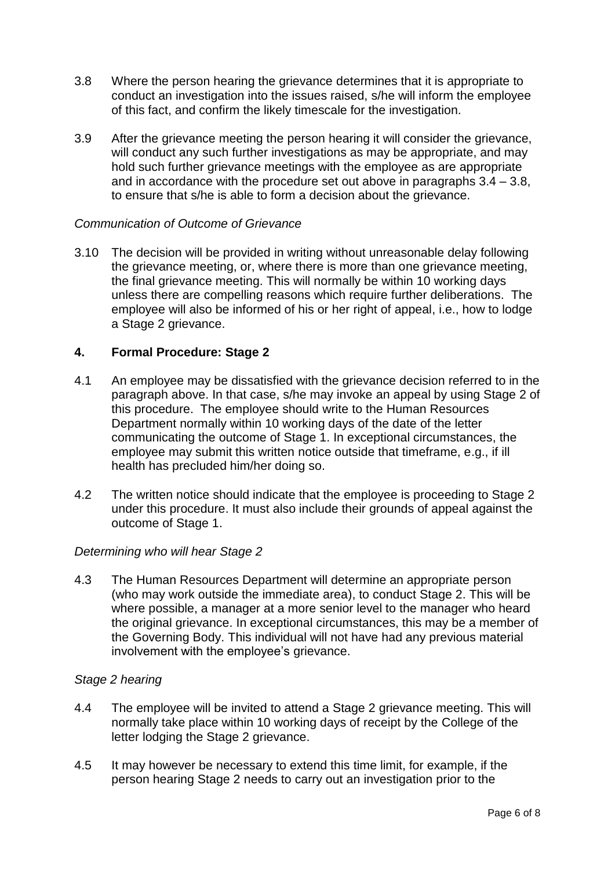- 3.8 Where the person hearing the grievance determines that it is appropriate to conduct an investigation into the issues raised, s/he will inform the employee of this fact, and confirm the likely timescale for the investigation.
- 3.9 After the grievance meeting the person hearing it will consider the grievance, will conduct any such further investigations as may be appropriate, and may hold such further grievance meetings with the employee as are appropriate and in accordance with the procedure set out above in paragraphs 3.4 – 3.8, to ensure that s/he is able to form a decision about the grievance.

# *Communication of Outcome of Grievance*

3.10 The decision will be provided in writing without unreasonable delay following the grievance meeting, or, where there is more than one grievance meeting, the final grievance meeting. This will normally be within 10 working days unless there are compelling reasons which require further deliberations. The employee will also be informed of his or her right of appeal, i.e., how to lodge a Stage 2 grievance.

# **4. Formal Procedure: Stage 2**

- 4.1 An employee may be dissatisfied with the grievance decision referred to in the paragraph above. In that case, s/he may invoke an appeal by using Stage 2 of this procedure. The employee should write to the Human Resources Department normally within 10 working days of the date of the letter communicating the outcome of Stage 1. In exceptional circumstances, the employee may submit this written notice outside that timeframe, e.g., if ill health has precluded him/her doing so.
- 4.2 The written notice should indicate that the employee is proceeding to Stage 2 under this procedure. It must also include their grounds of appeal against the outcome of Stage 1.

### *Determining who will hear Stage 2*

4.3 The Human Resources Department will determine an appropriate person (who may work outside the immediate area), to conduct Stage 2. This will be where possible, a manager at a more senior level to the manager who heard the original grievance. In exceptional circumstances, this may be a member of the Governing Body. This individual will not have had any previous material involvement with the employee's grievance.

### *Stage 2 hearing*

- 4.4 The employee will be invited to attend a Stage 2 grievance meeting. This will normally take place within 10 working days of receipt by the College of the letter lodging the Stage 2 grievance.
- 4.5 It may however be necessary to extend this time limit, for example, if the person hearing Stage 2 needs to carry out an investigation prior to the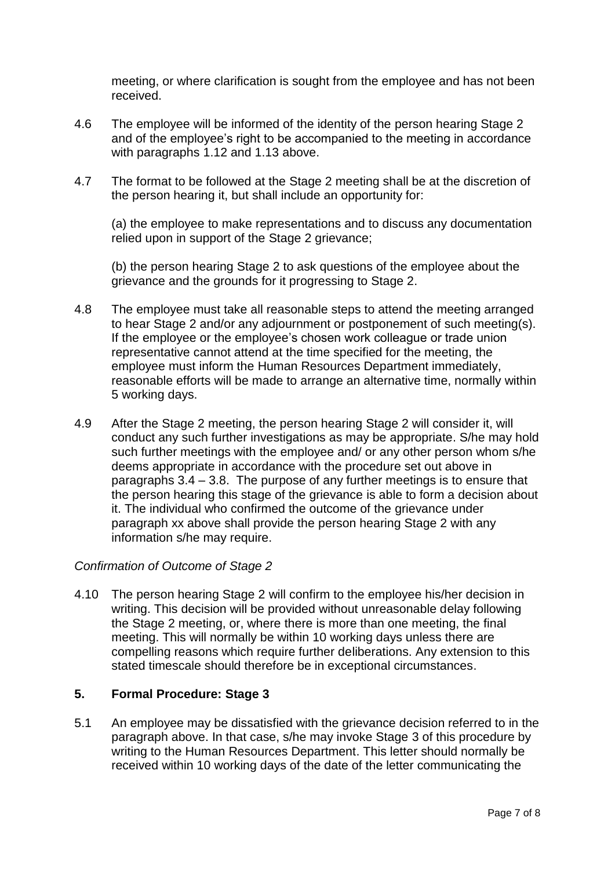meeting, or where clarification is sought from the employee and has not been received.

- 4.6 The employee will be informed of the identity of the person hearing Stage 2 and of the employee's right to be accompanied to the meeting in accordance with paragraphs 1.12 and 1.13 above.
- 4.7 The format to be followed at the Stage 2 meeting shall be at the discretion of the person hearing it, but shall include an opportunity for:

(a) the employee to make representations and to discuss any documentation relied upon in support of the Stage 2 grievance;

(b) the person hearing Stage 2 to ask questions of the employee about the grievance and the grounds for it progressing to Stage 2.

- 4.8 The employee must take all reasonable steps to attend the meeting arranged to hear Stage 2 and/or any adjournment or postponement of such meeting(s). If the employee or the employee's chosen work colleague or trade union representative cannot attend at the time specified for the meeting, the employee must inform the Human Resources Department immediately, reasonable efforts will be made to arrange an alternative time, normally within 5 working days.
- 4.9 After the Stage 2 meeting, the person hearing Stage 2 will consider it, will conduct any such further investigations as may be appropriate. S/he may hold such further meetings with the employee and/ or any other person whom s/he deems appropriate in accordance with the procedure set out above in paragraphs 3.4 – 3.8. The purpose of any further meetings is to ensure that the person hearing this stage of the grievance is able to form a decision about it. The individual who confirmed the outcome of the grievance under paragraph xx above shall provide the person hearing Stage 2 with any information s/he may require.

### *Confirmation of Outcome of Stage 2*

4.10 The person hearing Stage 2 will confirm to the employee his/her decision in writing. This decision will be provided without unreasonable delay following the Stage 2 meeting, or, where there is more than one meeting, the final meeting. This will normally be within 10 working days unless there are compelling reasons which require further deliberations. Any extension to this stated timescale should therefore be in exceptional circumstances.

# **5. Formal Procedure: Stage 3**

5.1 An employee may be dissatisfied with the grievance decision referred to in the paragraph above. In that case, s/he may invoke Stage 3 of this procedure by writing to the Human Resources Department. This letter should normally be received within 10 working days of the date of the letter communicating the